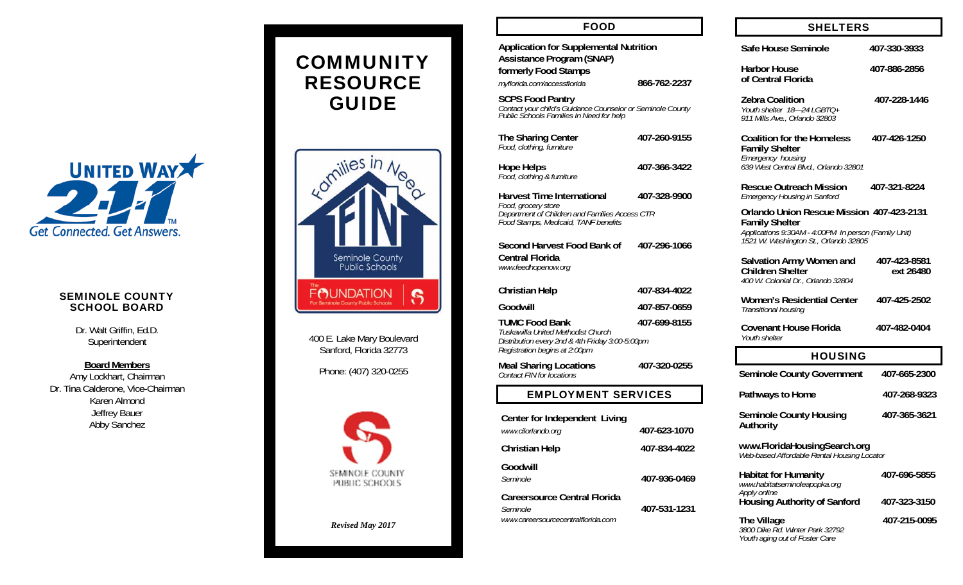

### SEMINOLE COUNTY SCHOOL BOARD

Dr. Walt Griffin, Ed.D. Superintendent

**Board Members**  Amy Lockhart, Chairman Dr. Tina Calderone, Vice-Chairman Karen Almond Jeffrey Bauer Abby Sanchez

# COMMUNITY RESOURCE GUIDE



400 E. Lake Mary Boulevard Sanford, Florida 32773

Phone: (407) 320-0255



*Revised May 2017* 

| <b>FOOD</b>                                                                                                                                     |              |  | <b>SHELTERS</b>                                                                                                                   |                           |
|-------------------------------------------------------------------------------------------------------------------------------------------------|--------------|--|-----------------------------------------------------------------------------------------------------------------------------------|---------------------------|
| <b>Application for Supplemental Nutrition</b><br><b>Assistance Program (SNAP)</b>                                                               |              |  | Safe House Seminole                                                                                                               | 407-330-3933              |
| formerly Food Stamps<br>myflorida.com/accessflorida                                                                                             | 866-762-2237 |  | <b>Harbor House</b><br>of Central Florida                                                                                         | 407-886-2856              |
| <b>SCPS Food Pantry</b><br>Contact your child's Guidance Counselor or Seminole County<br>Public Schools Families In Need for help               |              |  | <b>Zebra Coalition</b><br>Youth shelter 18-24 LGBTQ+<br>911 Mills Ave., Orlando 32803                                             | 407-228-1446              |
| The Sharing Center<br>Food, clothing, furniture                                                                                                 | 407-260-9155 |  | <b>Coalition for the Homeless</b><br><b>Family Shelter</b>                                                                        | 407-426-1250              |
| <b>Hope Helps</b><br>Food, clothing & furniture                                                                                                 | 407-366-3422 |  | Emergency housing<br>639 West Central Blvd., Orlando 32801                                                                        |                           |
| <b>Harvest Time International</b>                                                                                                               | 407-328-9900 |  | <b>Rescue Outreach Mission</b><br><b>Emergency Housing in Sanford</b>                                                             | 407-321-8224              |
| Food, grocery store<br>Department of Children and Families Access CTR<br>Food Stamps, Medicaid, TANF benefits                                   |              |  | <b>Orlando Union Rescue Mission 407-423-2131</b><br><b>Family Shelter</b><br>Applications 9:30AM - 4:00PM In person (Family Unit) |                           |
| Second Harvest Food Bank of<br><b>Central Florida</b>                                                                                           | 407-296-1066 |  | 1521 W. Washington St., Orlando 32805                                                                                             |                           |
| www.feedhopenow.org                                                                                                                             |              |  | Salvation Army Women and<br><b>Children Shelter</b><br>400 W. Colonial Dr., Orlando 32804                                         | 407-423-8581<br>ext 26480 |
| Christian Help                                                                                                                                  | 407-834-4022 |  | <b>Women's Residential Center</b>                                                                                                 | 407-425-2502              |
| Goodwill                                                                                                                                        | 407-857-0659 |  | Transitional housing                                                                                                              |                           |
| <b>TUMC Food Bank</b><br>Tuskawilla United Methodist Church<br>Distribution every 2nd & 4th Friday 3:00-5:00pm<br>Registration begins at 2:00pm | 407-699-8155 |  | <b>Covenant House Florida</b><br>Youth shelter                                                                                    | 407-482-0404              |
| <b>Meal Sharing Locations</b>                                                                                                                   | 407-320-0255 |  | <b>HOUSING</b>                                                                                                                    |                           |
| Contact FIN for locations                                                                                                                       |              |  | <b>Seminole County Government</b>                                                                                                 | 407-665-2300              |
| <b>EMPLOYMENT SERVICES</b>                                                                                                                      |              |  | Pathways to Home                                                                                                                  | 407-268-9323              |
| Center for Independent Living<br>www.cilorlando.org                                                                                             | 407-623-1070 |  | <b>Seminole County Housing</b><br>Authority                                                                                       | 407-365-3621              |
| <b>Christian Help</b>                                                                                                                           | 407-834-4022 |  | www.FloridaHousingSearch.org<br>Web-based Affordable Rental Housing Locator                                                       |                           |
| Goodwill<br>Seminole                                                                                                                            | 407-936-0469 |  | <b>Habitat for Humanity</b><br>www.habitatseminoleapopka.org<br>Apply online                                                      | 407-696-5855              |
| <b>Careersource Central Florida</b><br>Seminole<br>www.careersourcecentralflorida.com                                                           | 407-531-1231 |  | <b>Housing Authority of Sanford</b>                                                                                               | 407-323-3150              |
|                                                                                                                                                 |              |  | The Village<br>3800 Dike Rd. Winter Park 32792<br>Youth aging out of Foster Care                                                  | 407-215-0095              |